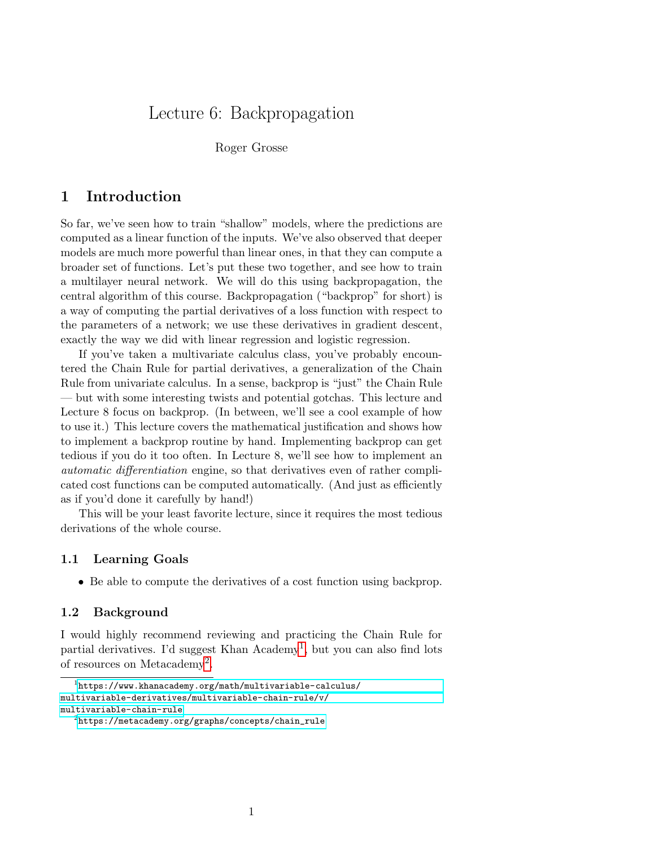# Lecture 6: Backpropagation

Roger Grosse

### 1 Introduction

So far, we've seen how to train "shallow" models, where the predictions are computed as a linear function of the inputs. We've also observed that deeper models are much more powerful than linear ones, in that they can compute a broader set of functions. Let's put these two together, and see how to train a multilayer neural network. We will do this using backpropagation, the central algorithm of this course. Backpropagation ("backprop" for short) is a way of computing the partial derivatives of a loss function with respect to the parameters of a network; we use these derivatives in gradient descent, exactly the way we did with linear regression and logistic regression.

If you've taken a multivariate calculus class, you've probably encountered the Chain Rule for partial derivatives, a generalization of the Chain Rule from univariate calculus. In a sense, backprop is "just" the Chain Rule — but with some interesting twists and potential gotchas. This lecture and Lecture 8 focus on backprop. (In between, we'll see a cool example of how to use it.) This lecture covers the mathematical justification and shows how to implement a backprop routine by hand. Implementing backprop can get tedious if you do it too often. In Lecture 8, we'll see how to implement an automatic differentiation engine, so that derivatives even of rather complicated cost functions can be computed automatically. (And just as efficiently as if you'd done it carefully by hand!)

This will be your least favorite lecture, since it requires the most tedious derivations of the whole course.

#### 1.1 Learning Goals

• Be able to compute the derivatives of a cost function using backprop.

#### 1.2 Background

I would highly recommend reviewing and practicing the Chain Rule for partial derivatives. I'd suggest Khan Academy<sup>[1](#page-0-0)</sup>, but you can also find lots of resources on Metacademy<sup>[2](#page-0-1)</sup>.

<span id="page-0-0"></span> $^{1}$ [https://www.khanacademy.org/math/multivariable-calculus/](https://www.khanacademy.org/math/multivariable-calculus/multivariable-derivatives/multivariable-chain-rule/v/multivariable-chain-rule) [multivariable-derivatives/multivariable-chain-rule/v/](https://www.khanacademy.org/math/multivariable-calculus/multivariable-derivatives/multivariable-chain-rule/v/multivariable-chain-rule) [multivariable-chain-rule](https://www.khanacademy.org/math/multivariable-calculus/multivariable-derivatives/multivariable-chain-rule/v/multivariable-chain-rule)

<span id="page-0-1"></span> $^{2}$ [https://metacademy.org/graphs/concepts/chain\\_rule](https://metacademy.org/graphs/concepts/chain_rule)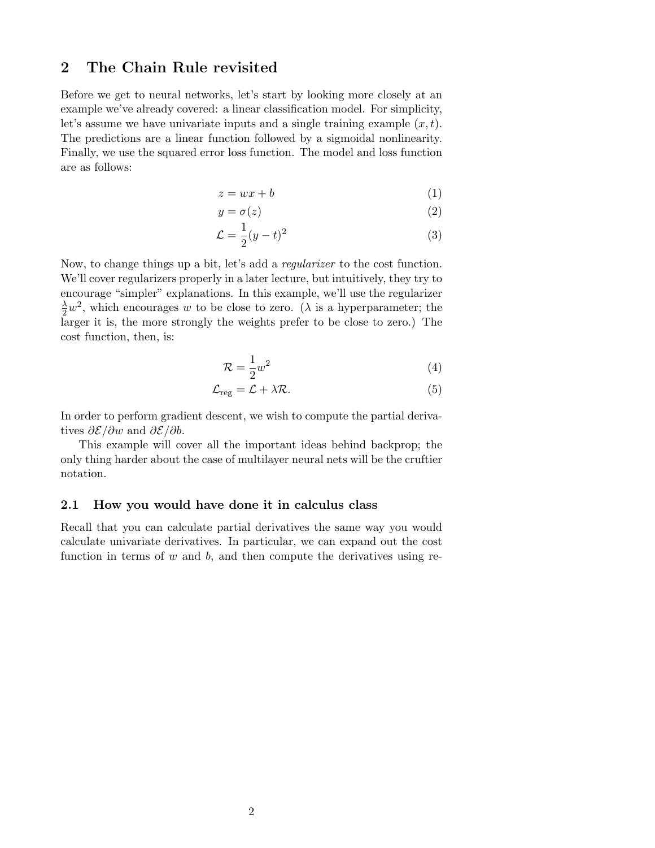## 2 The Chain Rule revisited

Before we get to neural networks, let's start by looking more closely at an example we've already covered: a linear classification model. For simplicity, let's assume we have univariate inputs and a single training example  $(x, t)$ . The predictions are a linear function followed by a sigmoidal nonlinearity. Finally, we use the squared error loss function. The model and loss function are as follows:

$$
z = wx + b \tag{1}
$$

$$
y = \sigma(z) \tag{2}
$$

$$
\mathcal{L} = \frac{1}{2}(y - t)^2 \tag{3}
$$

Now, to change things up a bit, let's add a regularizer to the cost function. We'll cover regularizers properly in a later lecture, but intuitively, they try to encourage "simpler" explanations. In this example, we'll use the regularizer  $\frac{\lambda}{2}w^2$ , which encourages w to be close to zero. ( $\lambda$  is a hyperparameter; the larger it is, the more strongly the weights prefer to be close to zero.) The cost function, then, is:

<span id="page-1-1"></span>
$$
\mathcal{R} = \frac{1}{2}w^2\tag{4}
$$

$$
\mathcal{L}_{reg} = \mathcal{L} + \lambda \mathcal{R}.\tag{5}
$$

In order to perform gradient descent, we wish to compute the partial derivatives  $\partial \mathcal{E}/\partial w$  and  $\partial \mathcal{E}/\partial b$ .

This example will cover all the important ideas behind backprop; the only thing harder about the case of multilayer neural nets will be the cruftier notation.

#### <span id="page-1-0"></span>2.1 How you would have done it in calculus class

Recall that you can calculate partial derivatives the same way you would calculate univariate derivatives. In particular, we can expand out the cost function in terms of  $w$  and  $b$ , and then compute the derivatives using re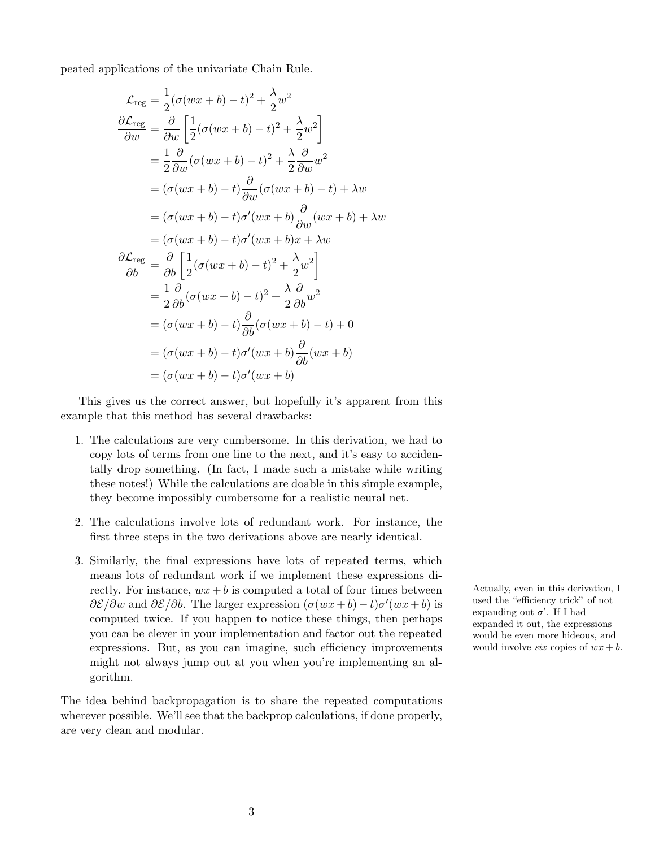peated applications of the univariate Chain Rule.

$$
\mathcal{L}_{reg} = \frac{1}{2}(\sigma(wx+b) - t)^2 + \frac{\lambda}{2}w^2
$$
  
\n
$$
\frac{\partial \mathcal{L}_{reg}}{\partial w} = \frac{\partial}{\partial w} \left[ \frac{1}{2}(\sigma(wx+b) - t)^2 + \frac{\lambda}{2}w^2 \right]
$$
  
\n
$$
= \frac{1}{2} \frac{\partial}{\partial w}(\sigma(wx+b) - t)^2 + \frac{\lambda}{2} \frac{\partial}{\partial w}w^2
$$
  
\n
$$
= (\sigma(wx+b) - t) \frac{\partial}{\partial w}(\sigma(wx+b) - t) + \lambda w
$$
  
\n
$$
= (\sigma(wx+b) - t)\sigma'(wx+b) \frac{\partial}{\partial w}(wx+b) + \lambda w
$$
  
\n
$$
\frac{\partial \mathcal{L}_{reg}}{\partial b} = \frac{\partial}{\partial b} \left[ \frac{1}{2}(\sigma(wx+b) - t)^2 + \frac{\lambda}{2}w^2 \right]
$$
  
\n
$$
= \frac{1}{2} \frac{\partial}{\partial b}(\sigma(wx+b) - t)^2 + \frac{\lambda}{2} \frac{\partial}{\partial b}w^2
$$
  
\n
$$
= (\sigma(wx+b) - t) \frac{\partial}{\partial b}(\sigma(wx+b) - t) + 0
$$
  
\n
$$
= (\sigma(wx+b) - t)\sigma'(wx+b) \frac{\partial}{\partial b}(wx+b)
$$
  
\n
$$
= (\sigma(wx+b) - t)\sigma'(wx+b)
$$

This gives us the correct answer, but hopefully it's apparent from this example that this method has several drawbacks:

- 1. The calculations are very cumbersome. In this derivation, we had to copy lots of terms from one line to the next, and it's easy to accidentally drop something. (In fact, I made such a mistake while writing these notes!) While the calculations are doable in this simple example, they become impossibly cumbersome for a realistic neural net.
- 2. The calculations involve lots of redundant work. For instance, the first three steps in the two derivations above are nearly identical.
- 3. Similarly, the final expressions have lots of repeated terms, which means lots of redundant work if we implement these expressions directly. For instance,  $wx + b$  is computed a total of four times between Actually, even in this derivation, I  $\partial \mathcal{E}/\partial w$  and  $\partial \mathcal{E}/\partial b$ . The larger expression  $(\sigma(wx+b)-t)\sigma'(wx+b)$  is computed twice. If you happen to notice these things, then perhaps you can be clever in your implementation and factor out the repeated expressions. But, as you can imagine, such efficiency improvements might not always jump out at you when you're implementing an algorithm.

The idea behind backpropagation is to share the repeated computations wherever possible. We'll see that the backprop calculations, if done properly, are very clean and modular.

used the "efficiency trick" of not expanding out  $\sigma'$ . If I had expanded it out, the expressions would be even more hideous, and would involve six copies of  $wx + b$ .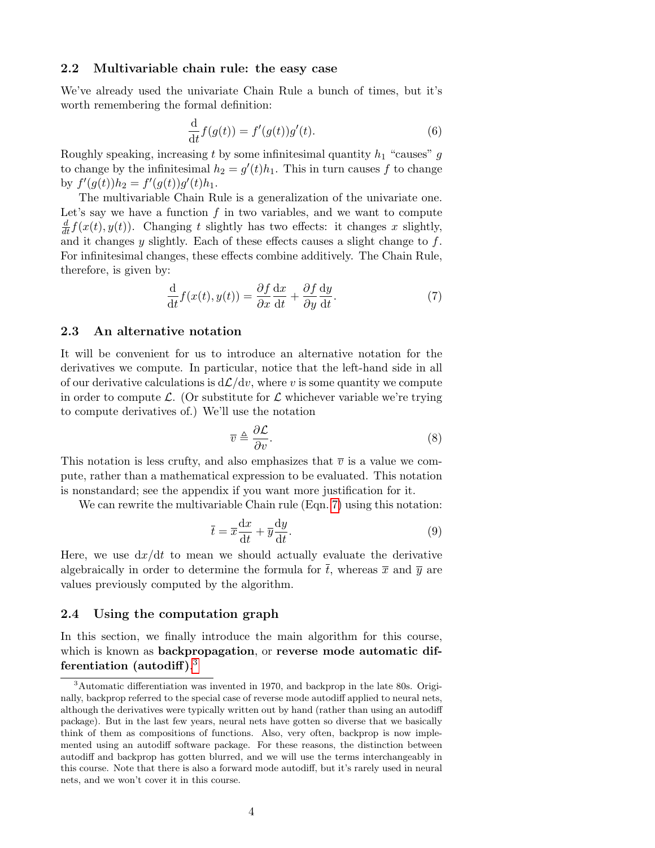#### 2.2 Multivariable chain rule: the easy case

We've already used the univariate Chain Rule a bunch of times, but it's worth remembering the formal definition:

$$
\frac{\mathrm{d}}{\mathrm{d}t}f(g(t)) = f'(g(t))g'(t). \tag{6}
$$

Roughly speaking, increasing t by some infinitesimal quantity  $h_1$  "causes" g to change by the infinitesimal  $h_2 = g'(t)h_1$ . This in turn causes f to change by  $f'(g(t))h_2 = f'(g(t))g'(t)h_1$ .

The multivariable Chain Rule is a generalization of the univariate one. Let's say we have a function  $f$  in two variables, and we want to compute  $\frac{d}{dt}f(x(t), y(t))$ . Changing t slightly has two effects: it changes x slightly, and it changes  $y$  slightly. Each of these effects causes a slight change to  $f$ . For infinitesimal changes, these effects combine additively. The Chain Rule, therefore, is given by:

<span id="page-3-0"></span>
$$
\frac{\mathrm{d}}{\mathrm{d}t}f(x(t), y(t)) = \frac{\partial f}{\partial x}\frac{\mathrm{d}x}{\mathrm{d}t} + \frac{\partial f}{\partial y}\frac{\mathrm{d}y}{\mathrm{d}t}.\tag{7}
$$

#### 2.3 An alternative notation

It will be convenient for us to introduce an alternative notation for the derivatives we compute. In particular, notice that the left-hand side in all of our derivative calculations is  $d\mathcal{L}/dv$ , where v is some quantity we compute in order to compute L. (Or substitute for  $\mathcal L$  whichever variable we're trying to compute derivatives of.) We'll use the notation

$$
\overline{v} \triangleq \frac{\partial \mathcal{L}}{\partial v}.\tag{8}
$$

This notation is less crufty, and also emphasizes that  $\bar{v}$  is a value we compute, rather than a mathematical expression to be evaluated. This notation is nonstandard; see the appendix if you want more justification for it.

We can rewrite the multivariable Chain rule (Eqn. [7\)](#page-3-0) using this notation:

<span id="page-3-3"></span>
$$
\bar{t} = \bar{x}\frac{\mathrm{d}x}{\mathrm{d}t} + \bar{y}\frac{\mathrm{d}y}{\mathrm{d}t}.\tag{9}
$$

Here, we use  $dx/dt$  to mean we should actually evaluate the derivative algebraically in order to determine the formula for  $\bar{t}$ , whereas  $\bar{x}$  and  $\bar{y}$  are values previously computed by the algorithm.

#### <span id="page-3-2"></span>2.4 Using the computation graph

In this section, we finally introduce the main algorithm for this course, which is known as backpropagation, or reverse mode automatic differentiation (autodiff). $^3$  $^3$ 

<span id="page-3-1"></span><sup>&</sup>lt;sup>3</sup>Automatic differentiation was invented in 1970, and backprop in the late 80s. Originally, backprop referred to the special case of reverse mode autodiff applied to neural nets, although the derivatives were typically written out by hand (rather than using an autodiff package). But in the last few years, neural nets have gotten so diverse that we basically think of them as compositions of functions. Also, very often, backprop is now implemented using an autodiff software package. For these reasons, the distinction between autodiff and backprop has gotten blurred, and we will use the terms interchangeably in this course. Note that there is also a forward mode autodiff, but it's rarely used in neural nets, and we won't cover it in this course.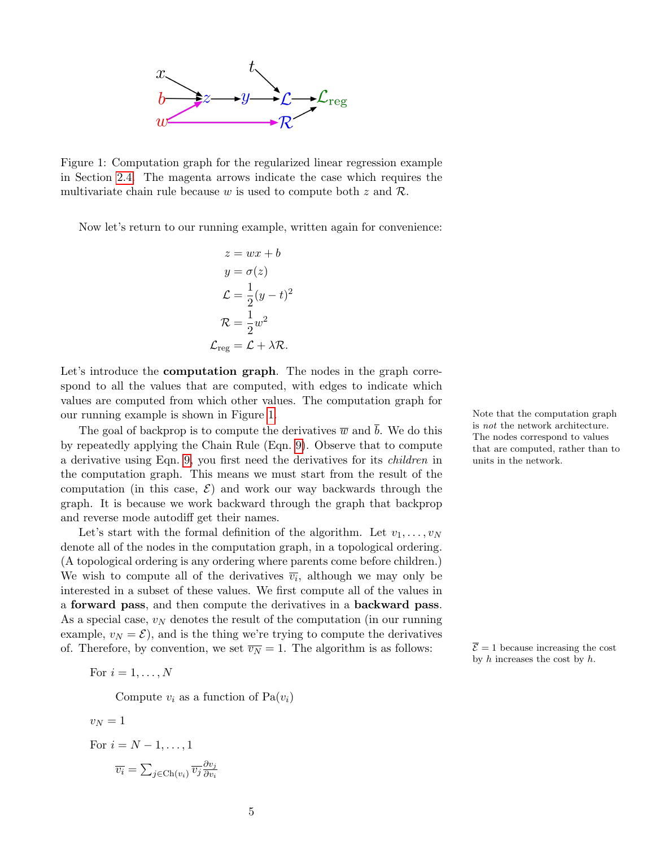

<span id="page-4-0"></span>Figure 1: Computation graph for the regularized linear regression example in Section [2.4.](#page-3-2) The magenta arrows indicate the case which requires the multivariate chain rule because w is used to compute both  $z$  and  $\mathcal{R}$ .

Now let's return to our running example, written again for convenience:

$$
z = wx + b
$$
  
\n
$$
y = \sigma(z)
$$
  
\n
$$
\mathcal{L} = \frac{1}{2}(y - t)^2
$$
  
\n
$$
\mathcal{R} = \frac{1}{2}w^2
$$
  
\n
$$
\mathcal{L}_{reg} = \mathcal{L} + \lambda \mathcal{R}.
$$

Let's introduce the **computation graph**. The nodes in the graph correspond to all the values that are computed, with edges to indicate which values are computed from which other values. The computation graph for our running example is shown in Figure [1.](#page-4-0) Note that the computation graph

The goal of backprop is to compute the derivatives  $\overline{w}$  and  $\overline{b}$ . We do this by repeatedly applying the Chain Rule (Eqn. [9\)](#page-3-3). Observe that to compute a derivative using Eqn. [9,](#page-3-3) you first need the derivatives for its children in the computation graph. This means we must start from the result of the computation (in this case,  $\mathcal{E}$ ) and work our way backwards through the graph. It is because we work backward through the graph that backprop and reverse mode autodiff get their names.

Let's start with the formal definition of the algorithm. Let  $v_1, \ldots, v_N$ denote all of the nodes in the computation graph, in a topological ordering. (A topological ordering is any ordering where parents come before children.) We wish to compute all of the derivatives  $\overline{v_i}$ , although we may only be interested in a subset of these values. We first compute all of the values in a forward pass, and then compute the derivatives in a backward pass. As a special case,  $v_N$  denotes the result of the computation (in our running example,  $v_N = \mathcal{E}$ , and is the thing we're trying to compute the derivatives of. Therefore, by convention, we set  $\overline{v_N} = 1$ . The algorithm is as follows:  $\overline{\mathcal{E}} = 1$  because increasing the cost

For  $i = 1, \ldots, N$ 

Compute  $v_i$  as a function of  $Pa(v_i)$ 

 $v_N = 1$ For  $i = N-1, \ldots, 1$  $\overline{v_i} = \sum_{j \in \text{Ch}(v_i)} \overline{v_j} \frac{\partial v_j}{\partial v_i}$  $\partial v_i$  is not the network architecture. The nodes correspond to values that are computed, rather than to units in the network.

by  $h$  increases the cost by  $h$ .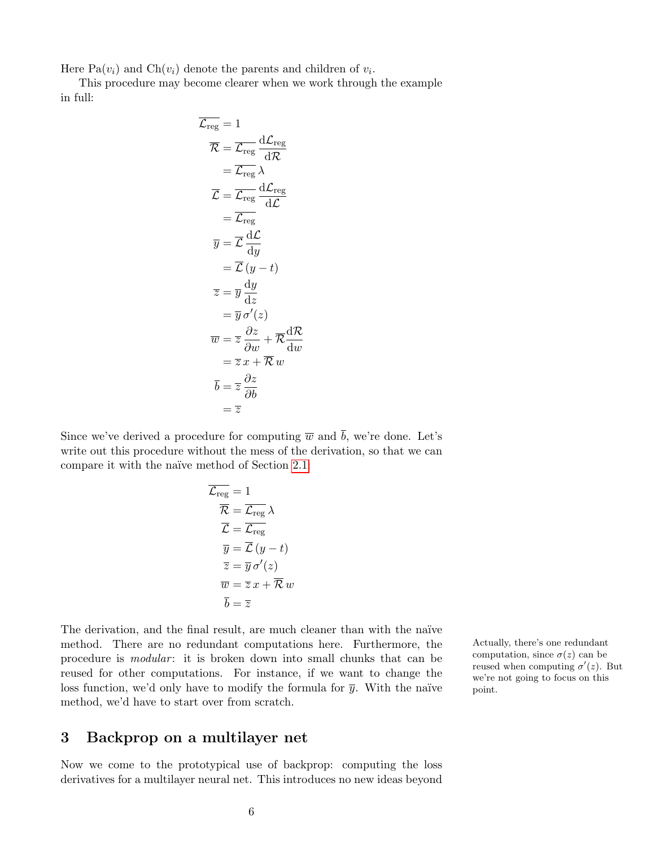Here  $Pa(v_i)$  and  $Ch(v_i)$  denote the parents and children of  $v_i$ .

This procedure may become clearer when we work through the example in full:

$$
\overline{\mathcal{L}_{reg}} = 1
$$
\n
$$
\overline{\mathcal{R}} = \overline{\mathcal{L}_{reg}} \frac{d\mathcal{L}_{reg}}{d\mathcal{R}}
$$
\n
$$
= \overline{\mathcal{L}_{reg}} \lambda
$$
\n
$$
\overline{\mathcal{L}} = \overline{\mathcal{L}_{reg}} \frac{d\mathcal{L}_{reg}}{d\mathcal{L}}
$$
\n
$$
= \overline{\mathcal{L}_{reg}} \frac{d\mathcal{L}_{reg}}{d\mathcal{L}}
$$
\n
$$
\overline{y} = \overline{\mathcal{L}} \frac{d\mathcal{L}}{dy}
$$
\n
$$
= \overline{\mathcal{L}} (y - t)
$$
\n
$$
\overline{z} = \overline{y} \frac{dy}{dz}
$$
\n
$$
= \overline{y} \sigma'(z)
$$
\n
$$
\overline{w} = \overline{z} \frac{\partial z}{\partial w} + \overline{\mathcal{R}} \frac{d\mathcal{R}}{dw}
$$
\n
$$
= \overline{z} x + \overline{\mathcal{R}} w
$$
\n
$$
\overline{b} = \overline{z} \frac{\partial z}{\partial b}
$$
\n
$$
= \overline{z}
$$

Since we've derived a procedure for computing  $\overline{w}$  and  $\overline{b}$ , we're done. Let's write out this procedure without the mess of the derivation, so that we can compare it with the naïve method of Section [2.1:](#page-1-0)

$$
\overline{\mathcal{L}_{reg}} = 1
$$
\n
$$
\overline{\mathcal{R}} = \overline{\mathcal{L}_{reg}} \lambda
$$
\n
$$
\overline{\mathcal{L}} = \overline{\mathcal{L}_{reg}}
$$
\n
$$
\overline{y} = \overline{\mathcal{L}} (y - t)
$$
\n
$$
\overline{z} = \overline{y} \sigma'(z)
$$
\n
$$
\overline{w} = \overline{z} x + \overline{\mathcal{R}} w
$$
\n
$$
\overline{b} = \overline{z}
$$

The derivation, and the final result, are much cleaner than with the naïve method. There are no redundant computations here. Furthermore, the Actually, there's one redundant procedure is *modular*: it is broken down into small chunks that can be reused for other computations. For instance, if we want to change the loss function, we'd only have to modify the formula for  $\bar{y}$ . With the naïve method, we'd have to start over from scratch.

### 3 Backprop on a multilayer net

Now we come to the prototypical use of backprop: computing the loss derivatives for a multilayer neural net. This introduces no new ideas beyond computation, since  $\sigma(z)$  can be reused when computing  $\sigma'(z)$ . But we're not going to focus on this point.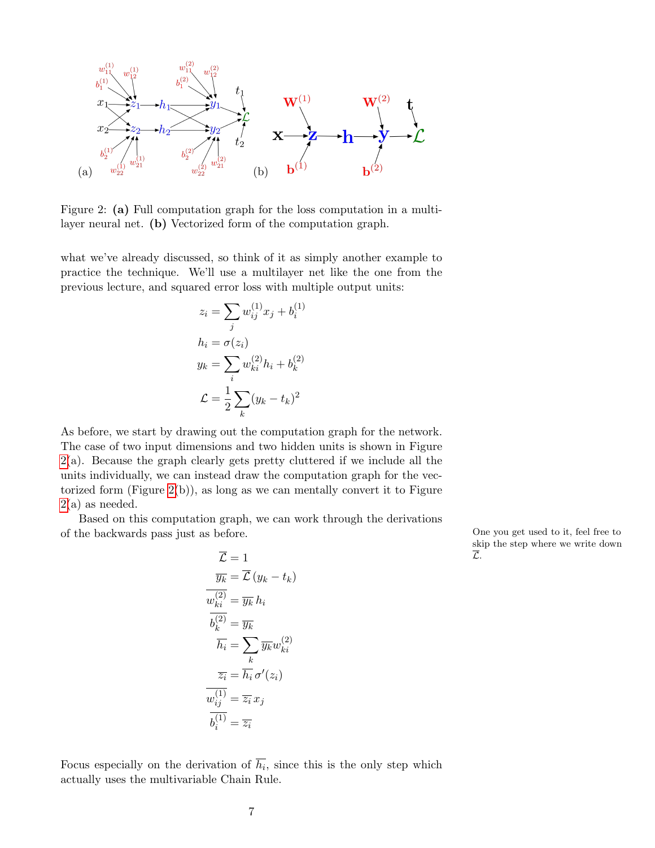

<span id="page-6-0"></span>Figure 2: (a) Full computation graph for the loss computation in a multilayer neural net. (b) Vectorized form of the computation graph.

what we've already discussed, so think of it as simply another example to practice the technique. We'll use a multilayer net like the one from the previous lecture, and squared error loss with multiple output units:

$$
z_i = \sum_j w_{ij}^{(1)} x_j + b_i^{(1)}
$$
  
\n
$$
h_i = \sigma(z_i)
$$
  
\n
$$
y_k = \sum_i w_{ki}^{(2)} h_i + b_k^{(2)}
$$
  
\n
$$
\mathcal{L} = \frac{1}{2} \sum_k (y_k - t_k)^2
$$

As before, we start by drawing out the computation graph for the network. The case of two input dimensions and two hidden units is shown in Figure [2\(](#page-6-0)a). Because the graph clearly gets pretty cluttered if we include all the units individually, we can instead draw the computation graph for the vectorized form (Figure  $2(b)$ ), as long as we can mentally convert it to Figure  $2(a)$  $2(a)$  as needed.

Based on this computation graph, we can work through the derivations of the backwards pass just as before. One you get used to it, feel free to

$$
\overline{\mathcal{L}} = 1
$$
\n
$$
\overline{y_k} = \overline{\mathcal{L}} (y_k - t_k)
$$
\n
$$
\overline{w_{ki}^{(2)}} = \overline{y_k} h_i
$$
\n
$$
\overline{h_i} = \sum_k \overline{y_k} w_{ki}^{(2)}
$$
\n
$$
\overline{z_i} = \overline{h_i} \sigma'(z_i)
$$
\n
$$
\overline{w_{ij}^{(1)}} = \overline{z_i} x_j
$$
\n
$$
\overline{b_i^{(1)}} = \overline{z_i}
$$

skip the step where we write down

Focus especially on the derivation of  $h_i$ , since this is the only step which actually uses the multivariable Chain Rule.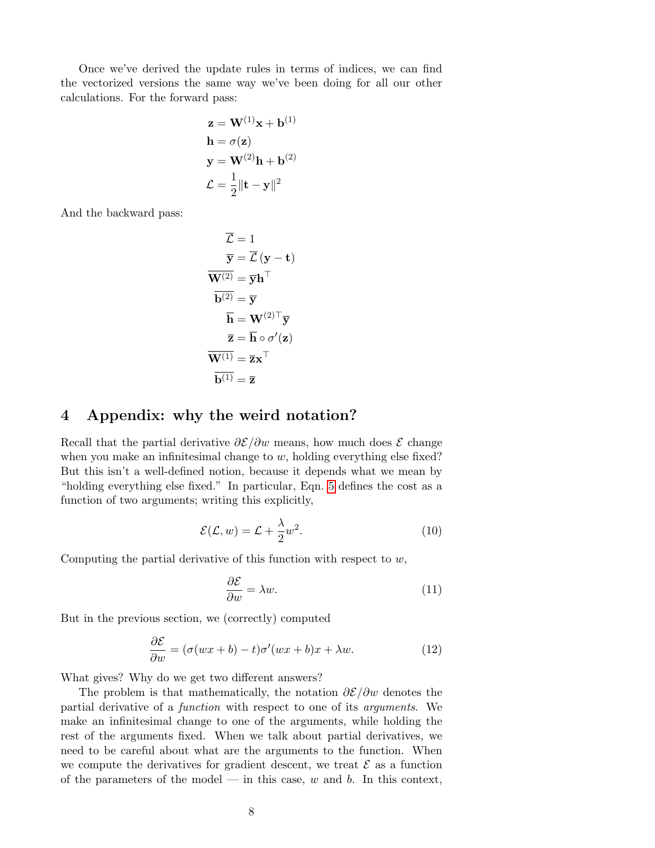Once we've derived the update rules in terms of indices, we can find the vectorized versions the same way we've been doing for all our other calculations. For the forward pass:

$$
\mathbf{z} = \mathbf{W}^{(1)}\mathbf{x} + \mathbf{b}^{(1)}
$$

$$
\mathbf{h} = \sigma(\mathbf{z})
$$

$$
\mathbf{y} = \mathbf{W}^{(2)}\mathbf{h} + \mathbf{b}^{(2)}
$$

$$
\mathcal{L} = \frac{1}{2} ||\mathbf{t} - \mathbf{y}||^2
$$

And the backward pass:

$$
\overline{\mathcal{L}} = 1
$$
  
\n
$$
\overline{\mathbf{y}} = \overline{\mathcal{L}} (\mathbf{y} - \mathbf{t})
$$
  
\n
$$
\overline{\mathbf{W}^{(2)}} = \overline{\mathbf{y}} \mathbf{h}^{\top}
$$
  
\n
$$
\overline{\mathbf{b}^{(2)}} = \overline{\mathbf{y}}
$$
  
\n
$$
\overline{\mathbf{h}} = \mathbf{W}^{(2)\top} \overline{\mathbf{y}}
$$
  
\n
$$
\overline{\mathbf{z}} = \overline{\mathbf{h}} \circ \sigma'(\mathbf{z})
$$
  
\n
$$
\overline{\mathbf{W}^{(1)}} = \overline{\mathbf{z}} \mathbf{x}^{\top}
$$
  
\n
$$
\overline{\mathbf{b}^{(1)}} = \overline{\mathbf{z}}
$$

# 4 Appendix: why the weird notation?

Recall that the partial derivative  $\partial \mathcal{E}/\partial w$  means, how much does  $\mathcal{E}$  change when you make an infinitesimal change to  $w$ , holding everything else fixed? But this isn't a well-defined notion, because it depends what we mean by "holding everything else fixed." In particular, Eqn. [5](#page-1-1) defines the cost as a function of two arguments; writing this explicitly,

<span id="page-7-0"></span>
$$
\mathcal{E}(\mathcal{L}, w) = \mathcal{L} + \frac{\lambda}{2} w^2.
$$
 (10)

Computing the partial derivative of this function with respect to  $w$ ,

$$
\frac{\partial \mathcal{E}}{\partial w} = \lambda w. \tag{11}
$$

But in the previous section, we (correctly) computed

$$
\frac{\partial \mathcal{E}}{\partial w} = (\sigma(wx+b) - t)\sigma'(wx+b)x + \lambda w.
$$
 (12)

What gives? Why do we get two different answers?

The problem is that mathematically, the notation  $\partial \mathcal{E}/\partial w$  denotes the partial derivative of a function with respect to one of its arguments. We make an infinitesimal change to one of the arguments, while holding the rest of the arguments fixed. When we talk about partial derivatives, we need to be careful about what are the arguments to the function. When we compute the derivatives for gradient descent, we treat  $\mathcal E$  as a function of the parameters of the model — in this case,  $w$  and  $b$ . In this context,